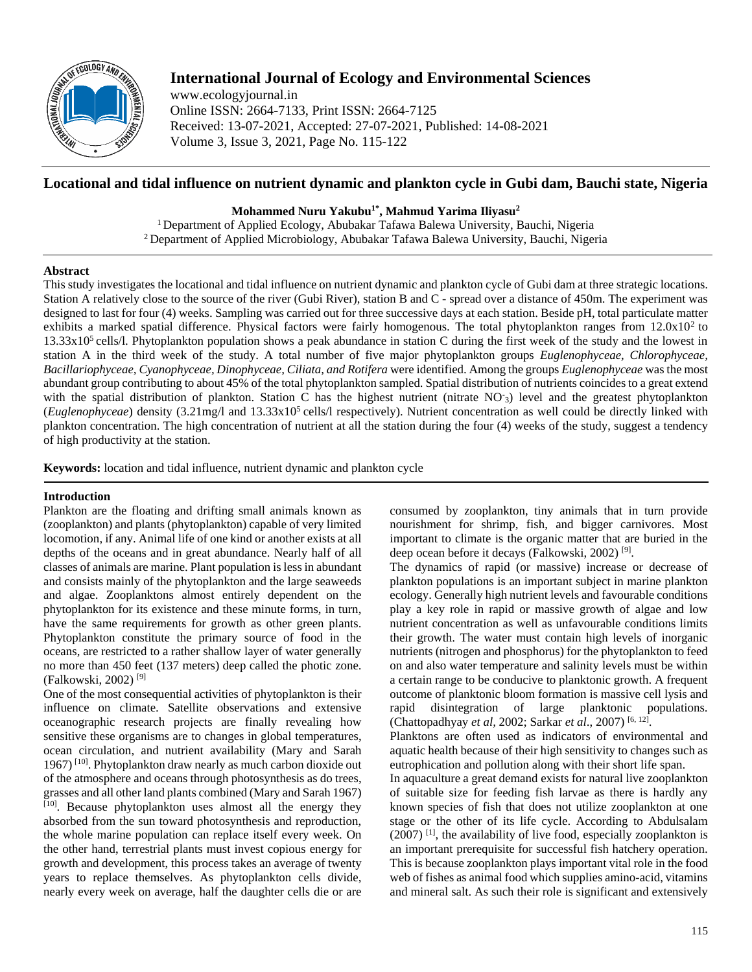

# **International Journal of Ecology and Environmental Sciences**

www.ecologyjournal.in Online ISSN: 2664-7133, Print ISSN: 2664-7125 Received: 13-07-2021, Accepted: 27-07-2021, Published: 14-08-2021 Volume 3, Issue 3, 2021, Page No. 115-122

## **Locational and tidal influence on nutrient dynamic and plankton cycle in Gubi dam, Bauchi state, Nigeria**

## **Mohammed Nuru Yakubu1\*, Mahmud Yarima Iliyasu<sup>2</sup>**

<sup>1</sup> Department of Applied Ecology, Abubakar Tafawa Balewa University, Bauchi, Nigeria <sup>2</sup> Department of Applied Microbiology, Abubakar Tafawa Balewa University, Bauchi, Nigeria

## **Abstract**

This study investigates the locational and tidal influence on nutrient dynamic and plankton cycle of Gubi dam at three strategic locations. Station A relatively close to the source of the river (Gubi River), station B and C - spread over a distance of 450m. The experiment was designed to last for four (4) weeks. Sampling was carried out for three successive days at each station. Beside pH, total particulate matter exhibits a marked spatial difference. Physical factors were fairly homogenous. The total phytoplankton ranges from  $12.0x10<sup>2</sup>$  to  $13.33x10<sup>5</sup>$  cells/l. Phytoplankton population shows a peak abundance in station C during the first week of the study and the lowest in station A in the third week of the study. A total number of five major phytoplankton groups *Euglenophyceae, Chlorophyceae, Bacillariophyceae, Cyanophyceae, Dinophyceae, Ciliata, and Rotifera* were identified. Among the groups *Euglenophyceae* was the most abundant group contributing to about 45% of the total phytoplankton sampled. Spatial distribution of nutrients coincides to a great extend with the spatial distribution of plankton. Station C has the highest nutrient (nitrate NO<sub>3</sub>) level and the greatest phytoplankton (*Euglenophyceae*) density (3.21mg/l and 13.33x10<sup>5</sup> cells/l respectively). Nutrient concentration as well could be directly linked with plankton concentration. The high concentration of nutrient at all the station during the four (4) weeks of the study, suggest a tendency of high productivity at the station.

**Keywords:** location and tidal influence, nutrient dynamic and plankton cycle

## **Introduction**

Plankton are the floating and drifting small animals known as (zooplankton) and plants (phytoplankton) capable of very limited locomotion, if any. Animal life of one kind or another exists at all depths of the oceans and in great abundance. Nearly half of all classes of animals are marine. Plant population is less in abundant and consists mainly of the phytoplankton and the large seaweeds and algae. Zooplanktons almost entirely dependent on the phytoplankton for its existence and these minute forms, in turn, have the same requirements for growth as other green plants. Phytoplankton constitute the primary source of food in the oceans, are restricted to a rather shallow layer of water generally no more than 450 feet (137 meters) deep called the photic zone. (Falkowski, 2002) [9]

One of the most consequential activities of phytoplankton is their influence on climate. Satellite observations and extensive oceanographic research projects are finally revealing how sensitive these organisms are to changes in global temperatures, ocean circulation, and nutrient availability (Mary and Sarah 1967) [10] . Phytoplankton draw nearly as much carbon dioxide out of the atmosphere and oceans through photosynthesis as do trees, grasses and all other land plants combined (Mary and Sarah 1967) [10] . Because phytoplankton uses almost all the energy they absorbed from the sun toward photosynthesis and reproduction, the whole marine population can replace itself every week. On the other hand, terrestrial plants must invest copious energy for growth and development, this process takes an average of twenty years to replace themselves. As phytoplankton cells divide, nearly every week on average, half the daughter cells die or are

consumed by zooplankton, tiny animals that in turn provide nourishment for shrimp, fish, and bigger carnivores. Most important to climate is the organic matter that are buried in the deep ocean before it decays (Falkowski, 2002)<sup>[9]</sup>.

The dynamics of rapid (or massive) increase or decrease of plankton populations is an important subject in marine plankton ecology. Generally high nutrient levels and favourable conditions play a key role in rapid or massive growth of algae and low nutrient concentration as well as unfavourable conditions limits their growth. The water must contain high levels of inorganic nutrients (nitrogen and phosphorus) for the phytoplankton to feed on and also water temperature and salinity levels must be within a certain range to be conducive to planktonic growth. A frequent outcome of planktonic bloom formation is massive cell lysis and rapid disintegration of large planktonic populations. (Chattopadhyay *et al,* 2002; Sarkar *et al*., 2007) [6, 12] .

Planktons are often used as indicators of environmental and aquatic health because of their high sensitivity to changes such as eutrophication and pollution along with their short life span.

In aquaculture a great demand exists for natural live zooplankton of suitable size for feeding fish larvae as there is hardly any known species of fish that does not utilize zooplankton at one stage or the other of its life cycle. According to Abdulsalam  $(2007)$ <sup>[1]</sup>, the availability of live food, especially zooplankton is an important prerequisite for successful fish hatchery operation. This is because zooplankton plays important vital role in the food web of fishes as animal food which supplies amino-acid, vitamins and mineral salt. As such their role is significant and extensively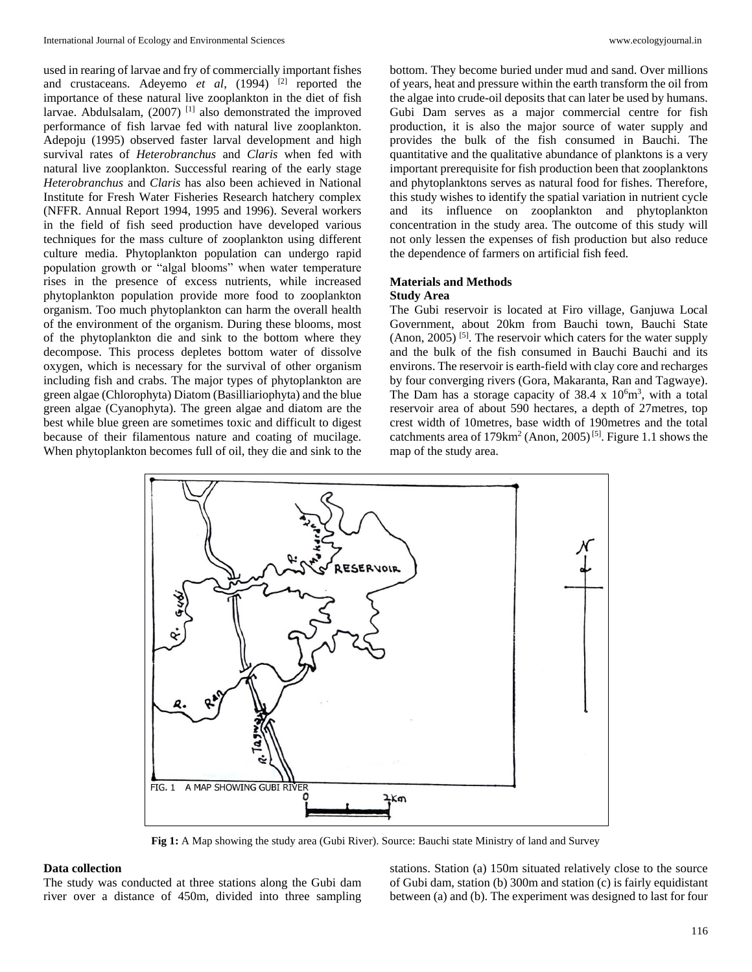used in rearing of larvae and fry of commercially important fishes and crustaceans. Adeyemo *et al*, (1994)<sup>[2]</sup> reported the importance of these natural live zooplankton in the diet of fish larvae. Abdulsalam,  $(2007)^{[1]}$  also demonstrated the improved performance of fish larvae fed with natural live zooplankton. Adepoju (1995) observed faster larval development and high survival rates of *Heterobranchus* and *Claris* when fed with natural live zooplankton. Successful rearing of the early stage *Heterobranchus* and *Claris* has also been achieved in National Institute for Fresh Water Fisheries Research hatchery complex (NFFR. Annual Report 1994, 1995 and 1996). Several workers in the field of fish seed production have developed various techniques for the mass culture of zooplankton using different culture media. Phytoplankton population can undergo rapid population growth or "algal blooms" when water temperature rises in the presence of excess nutrients, while increased phytoplankton population provide more food to zooplankton organism. Too much phytoplankton can harm the overall health of the environment of the organism. During these blooms, most of the phytoplankton die and sink to the bottom where they decompose. This process depletes bottom water of dissolve oxygen, which is necessary for the survival of other organism including fish and crabs. The major types of phytoplankton are green algae (Chlorophyta) Diatom (Basilliariophyta) and the blue green algae (Cyanophyta). The green algae and diatom are the best while blue green are sometimes toxic and difficult to digest because of their filamentous nature and coating of mucilage. When phytoplankton becomes full of oil, they die and sink to the

bottom. They become buried under mud and sand. Over millions of years, heat and pressure within the earth transform the oil from the algae into crude-oil deposits that can later be used by humans. Gubi Dam serves as a major commercial centre for fish production, it is also the major source of water supply and provides the bulk of the fish consumed in Bauchi. The quantitative and the qualitative abundance of planktons is a very important prerequisite for fish production been that zooplanktons and phytoplanktons serves as natural food for fishes. Therefore, this study wishes to identify the spatial variation in nutrient cycle and its influence on zooplankton and phytoplankton concentration in the study area. The outcome of this study will not only lessen the expenses of fish production but also reduce the dependence of farmers on artificial fish feed.

### **Materials and Methods Study Area**

The Gubi reservoir is located at Firo village, Ganjuwa Local Government, about 20km from Bauchi town, Bauchi State  $($ Anon,  $2005)$ <sup>[5]</sup>. The reservoir which caters for the water supply and the bulk of the fish consumed in Bauchi Bauchi and its environs. The reservoir is earth-field with clay core and recharges by four converging rivers (Gora, Makaranta, Ran and Tagwaye). The Dam has a storage capacity of  $38.4 \times 10^{6}$ m<sup>3</sup>, with a total reservoir area of about 590 hectares, a depth of 27metres, top crest width of 10metres, base width of 190metres and the total catchments area of  $179 \text{km}^2$  (Anon,  $2005$ )<sup>[5]</sup>. Figure 1.1 shows the map of the study area.



**Fig 1:** A Map showing the study area (Gubi River). Source: Bauchi state Ministry of land and Survey

#### **Data collection**

The study was conducted at three stations along the Gubi dam river over a distance of 450m, divided into three sampling

stations. Station (a) 150m situated relatively close to the source of Gubi dam, station (b) 300m and station (c) is fairly equidistant between (a) and (b). The experiment was designed to last for four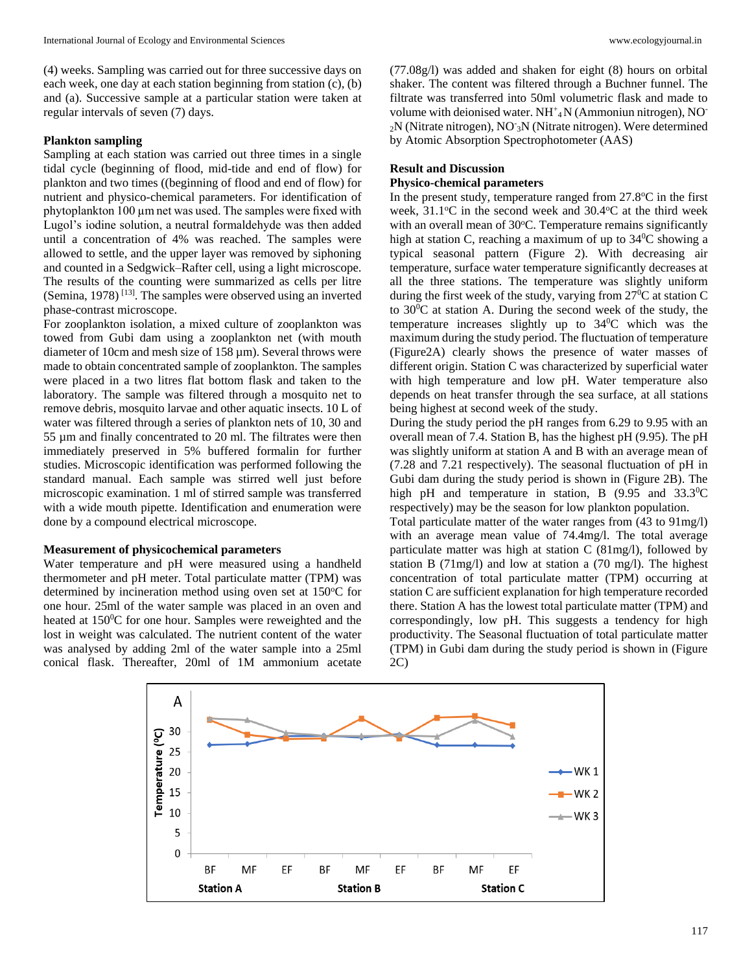(4) weeks. Sampling was carried out for three successive days on each week, one day at each station beginning from station (c), (b) and (a). Successive sample at a particular station were taken at regular intervals of seven (7) days.

## **Plankton sampling**

Sampling at each station was carried out three times in a single tidal cycle (beginning of flood, mid-tide and end of flow) for plankton and two times ((beginning of flood and end of flow) for nutrient and physico-chemical parameters. For identification of phytoplankton 100 µm net was used. The samples were fixed with Lugol's iodine solution, a neutral formaldehyde was then added until a concentration of 4% was reached. The samples were allowed to settle, and the upper layer was removed by siphoning and counted in a Sedgwick–Rafter cell, using a light microscope. The results of the counting were summarized as cells per litre (Semina, 1978)<sup>[13]</sup>. The samples were observed using an inverted phase-contrast microscope.

For zooplankton isolation, a mixed culture of zooplankton was towed from Gubi dam using a zooplankton net (with mouth diameter of 10cm and mesh size of 158  $\mu$ m). Several throws were made to obtain concentrated sample of zooplankton. The samples were placed in a two litres flat bottom flask and taken to the laboratory. The sample was filtered through a mosquito net to remove debris, mosquito larvae and other aquatic insects. 10 L of water was filtered through a series of plankton nets of 10, 30 and 55 µm and finally concentrated to 20 ml. The filtrates were then immediately preserved in 5% buffered formalin for further studies. Microscopic identification was performed following the standard manual. Each sample was stirred well just before microscopic examination. 1 ml of stirred sample was transferred with a wide mouth pipette. Identification and enumeration were done by a compound electrical microscope.

#### **Measurement of physicochemical parameters**

Water temperature and pH were measured using a handheld thermometer and pH meter. Total particulate matter (TPM) was determined by incineration method using oven set at  $150^{\circ}$ C for one hour. 25ml of the water sample was placed in an oven and heated at 150<sup>0</sup>C for one hour. Samples were reweighted and the lost in weight was calculated. The nutrient content of the water was analysed by adding 2ml of the water sample into a 25ml conical flask. Thereafter, 20ml of 1M ammonium acetate

(77.08g/l) was added and shaken for eight (8) hours on orbital shaker. The content was filtered through a Buchner funnel. The filtrate was transferred into 50ml volumetric flask and made to volume with deionised water. NH<sup>+</sup>4N (Ammoniun nitrogen), NO<sup>-</sup> 2N (Nitrate nitrogen), NO-<sup>3</sup>N (Nitrate nitrogen). Were determined by Atomic Absorption Spectrophotometer (AAS)

## **Result and Discussion**

#### **Physico-chemical parameters**

In the present study, temperature ranged from  $27.8^{\circ}$ C in the first week,  $31.1^{\circ}$ C in the second week and  $30.4^{\circ}$ C at the third week with an overall mean of 30°C. Temperature remains significantly high at station C, reaching a maximum of up to  $34^{\circ}$ C showing a typical seasonal pattern (Figure 2). With decreasing air temperature, surface water temperature significantly decreases at all the three stations. The temperature was slightly uniform during the first week of the study, varying from  $27^{\circ}$ C at station C to 30<sup>0</sup>C at station A. During the second week of the study, the temperature increases slightly up to  $34^{\circ}$ C which was the maximum during the study period. The fluctuation of temperature (Figure2A) clearly shows the presence of water masses of different origin. Station C was characterized by superficial water with high temperature and low pH. Water temperature also depends on heat transfer through the sea surface, at all stations being highest at second week of the study.

During the study period the pH ranges from 6.29 to 9.95 with an overall mean of 7.4. Station B, has the highest pH (9.95). The pH was slightly uniform at station A and B with an average mean of (7.28 and 7.21 respectively). The seasonal fluctuation of pH in Gubi dam during the study period is shown in (Figure 2B). The high pH and temperature in station, B  $(9.95 \text{ and } 33.3^{\circ}\text{C})$ respectively) may be the season for low plankton population.

Total particulate matter of the water ranges from (43 to 91mg/l) with an average mean value of 74.4mg/l. The total average particulate matter was high at station C (81mg/l), followed by station B (71mg/l) and low at station a (70 mg/l). The highest concentration of total particulate matter (TPM) occurring at station C are sufficient explanation for high temperature recorded there. Station A has the lowest total particulate matter (TPM) and correspondingly, low pH. This suggests a tendency for high productivity. The Seasonal fluctuation of total particulate matter (TPM) in Gubi dam during the study period is shown in (Figure 2C)

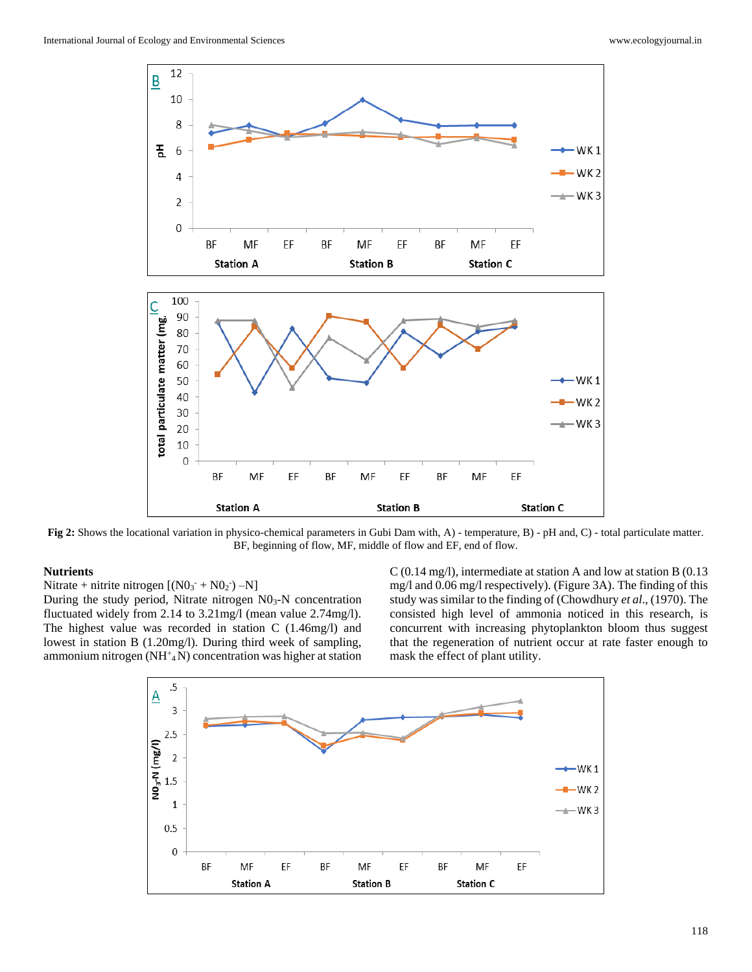

**Fig 2:** Shows the locational variation in physico-chemical parameters in Gubi Dam with, A) - temperature, B) - pH and, C) - total particulate matter. BF, beginning of flow, MF, middle of flow and EF, end of flow.

### **Nutrients**

Nitrate + nitrite nitrogen  $[(N0<sub>3</sub><sup>-</sup> + N0<sub>2</sub><sup>-</sup>) - N]$ During the study period, Nitrate nitrogen  $N0<sub>3</sub>-N$  concentration fluctuated widely from 2.14 to 3.21mg/l (mean value 2.74mg/l). The highest value was recorded in station C (1.46mg/l) and lowest in station B (1.20mg/l). During third week of sampling, ammonium nitrogen ( $NH^+$ <sub>4</sub> $N$ ) concentration was higher at station

C (0.14 mg/l), intermediate at station A and low at station B (0.13 mg/l and 0.06 mg/l respectively). (Figure 3A). The finding of this study was similar to the finding of (Chowdhury *et al*., (1970). The consisted high level of ammonia noticed in this research, is concurrent with increasing phytoplankton bloom thus suggest that the regeneration of nutrient occur at rate faster enough to mask the effect of plant utility.

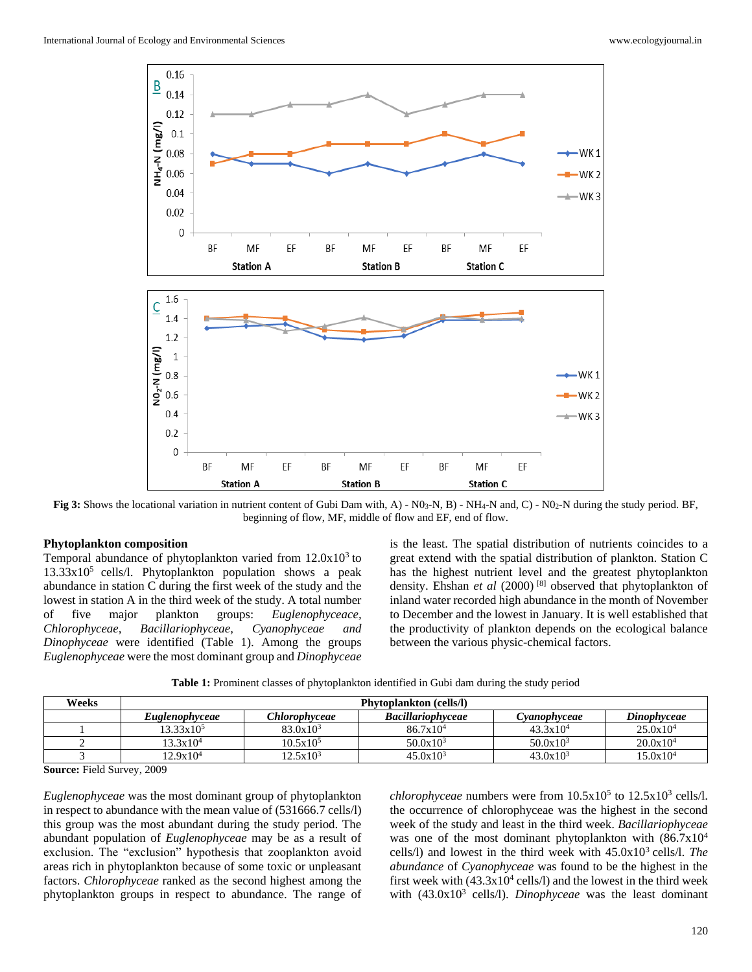

**Fig 3:** Shows the locational variation in nutrient content of Gubi Dam with, A) - N03-N, B) - NH4-N and, C) - N02-N during the study period. BF, beginning of flow, MF, middle of flow and EF, end of flow.

#### **Phytoplankton composition**

Temporal abundance of phytoplankton varied from  $12.0x10<sup>3</sup>$  to  $13.33x10<sup>5</sup>$  cells/l. Phytoplankton population shows a peak abundance in station C during the first week of the study and the lowest in station A in the third week of the study. A total number of five major plankton groups: *Euglenophyceace, Chlorophyceae, Bacillariophyceae, Cyanophyceae and Dinophyceae* were identified (Table 1). Among the groups *Euglenophyceae* were the most dominant group and *Dinophyceae*

is the least. The spatial distribution of nutrients coincides to a great extend with the spatial distribution of plankton. Station C has the highest nutrient level and the greatest phytoplankton density. Ehshan *et al* (2000) [8] observed that phytoplankton of inland water recorded high abundance in the month of November to December and the lowest in January. It is well established that the productivity of plankton depends on the ecological balance between the various physic-chemical factors.

**Table 1:** Prominent classes of phytoplankton identified in Gubi dam during the study period

| Weeks | <b>Phytoplankton</b> (cells/l) |               |                          |             |                      |
|-------|--------------------------------|---------------|--------------------------|-------------|----------------------|
|       | <i>Euglenophyceae</i>          | Chlorophyceae | <b>Bacillariophyceae</b> | Vanophyceae | Dinophyceae          |
|       | $13.33 \times 10^5$            | $83.0x10^3$   | $86.7x10^4$              | $43.3x10^4$ | $25.0x10^4$          |
|       | $13.3x10^4$                    | $10.5x10^5$   | $50.0x10^3$              | $50.0x10^3$ | $20.0x10^4$          |
|       | 12.9x10 <sup>4</sup>           | $12.5x10^3$   | $45.0x10^3$              | $43.0x10^3$ | 15.0x10 <sup>4</sup> |

**Source:** Field Survey, 2009

*Euglenophyceae* was the most dominant group of phytoplankton in respect to abundance with the mean value of (531666.7 cells/l) this group was the most abundant during the study period. The abundant population of *Euglenophyceae* may be as a result of exclusion. The "exclusion" hypothesis that zooplankton avoid areas rich in phytoplankton because of some toxic or unpleasant factors. *Chlorophyceae* ranked as the second highest among the phytoplankton groups in respect to abundance. The range of

*chlorophyceae* numbers were from  $10.5x10^5$  to  $12.5x10^3$  cells/l. the occurrence of chlorophyceae was the highest in the second week of the study and least in the third week. *Bacillariophyceae*  was one of the most dominant phytoplankton with  $(86.7x10<sup>4</sup>)$ cells/l) and lowest in the third week with  $45.0x10^3$  cells/l. *The abundance* of *Cyanophyceae* was found to be the highest in the first week with  $(43.3 \times 10^4 \text{ cells/l})$  and the lowest in the third week with (43.0x10<sup>3</sup> cells/l). *Dinophyceae* was the least dominant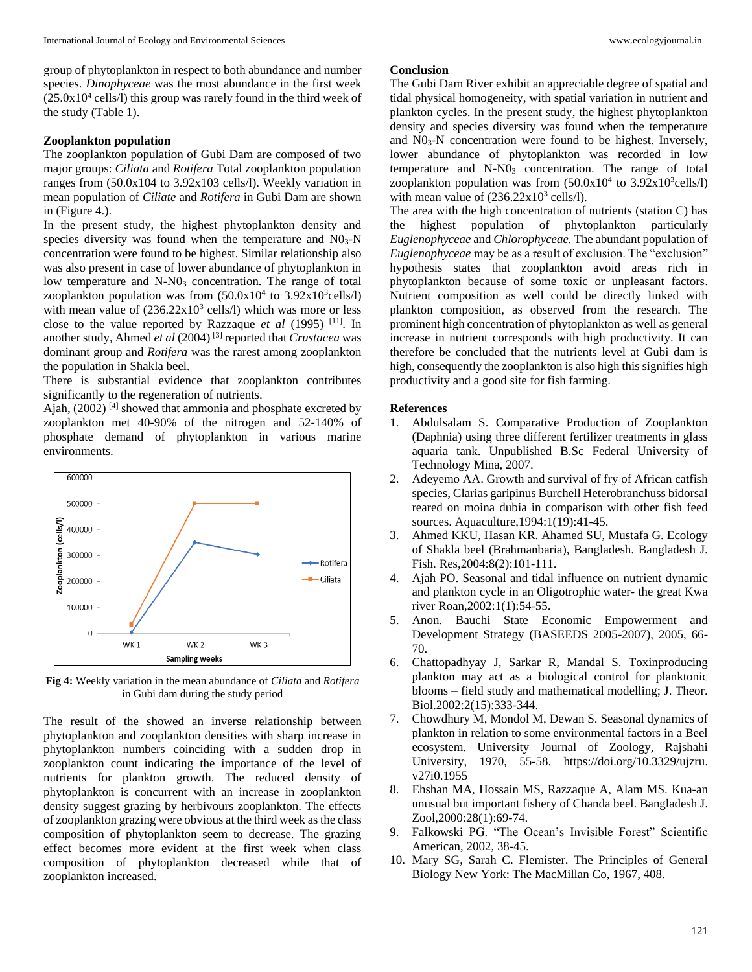group of phytoplankton in respect to both abundance and number species. *Dinophyceae* was the most abundance in the first week  $(25.0x10<sup>4</sup>$  cells/l) this group was rarely found in the third week of the study (Table 1).

## **Zooplankton population**

The zooplankton population of Gubi Dam are composed of two major groups: *Ciliata* and *Rotifera* Total zooplankton population ranges from (50.0x104 to 3.92x103 cells/l). Weekly variation in mean population of *Ciliate* and *Rotifera* in Gubi Dam are shown in (Figure 4.).

In the present study, the highest phytoplankton density and species diversity was found when the temperature and  $N0<sub>3</sub>-N$ concentration were found to be highest. Similar relationship also was also present in case of lower abundance of phytoplankton in low temperature and N-N0<sub>3</sub> concentration. The range of total zooplankton population was from  $(50.0x10<sup>4</sup>$  to  $3.92x10<sup>3</sup>$ cells/l) with mean value of  $(236.22 \times 10^3 \text{ cells/l})$  which was more or less close to the value reported by Razzaque *et al* (1995) [11] . In another study, Ahmed *et al* (2004) [3] reported that *Crustacea* was dominant group and *Rotifera* was the rarest among zooplankton the population in Shakla beel.

There is substantial evidence that zooplankton contributes significantly to the regeneration of nutrients.

Ajah,  $(2002)$ <sup>[4]</sup> showed that ammonia and phosphate excreted by zooplankton met 40-90% of the nitrogen and 52-140% of phosphate demand of phytoplankton in various marine environments.



**Fig 4:** Weekly variation in the mean abundance of *Ciliata* and *Rotifera* in Gubi dam during the study period

The result of the showed an inverse relationship between phytoplankton and zooplankton densities with sharp increase in phytoplankton numbers coinciding with a sudden drop in zooplankton count indicating the importance of the level of nutrients for plankton growth. The reduced density of phytoplankton is concurrent with an increase in zooplankton density suggest grazing by herbivours zooplankton. The effects of zooplankton grazing were obvious at the third week as the class composition of phytoplankton seem to decrease. The grazing effect becomes more evident at the first week when class composition of phytoplankton decreased while that of zooplankton increased.

## **Conclusion**

The Gubi Dam River exhibit an appreciable degree of spatial and tidal physical homogeneity, with spatial variation in nutrient and plankton cycles. In the present study, the highest phytoplankton density and species diversity was found when the temperature and  $NO<sub>3</sub>-N$  concentration were found to be highest. Inversely, lower abundance of phytoplankton was recorded in low temperature and N-N0<sub>3</sub> concentration. The range of total zooplankton population was from  $(50.0x10<sup>4</sup>$  to  $3.92x10<sup>3</sup>$ cells/l) with mean value of  $(236.22 \times 10^3 \text{ cells/l}).$ 

The area with the high concentration of nutrients (station C) has the highest population of phytoplankton particularly *Euglenophyceae* and *Chlorophyceae.* The abundant population of *Euglenophyceae* may be as a result of exclusion. The "exclusion" hypothesis states that zooplankton avoid areas rich in phytoplankton because of some toxic or unpleasant factors. Nutrient composition as well could be directly linked with plankton composition, as observed from the research. The prominent high concentration of phytoplankton as well as general increase in nutrient corresponds with high productivity. It can therefore be concluded that the nutrients level at Gubi dam is high, consequently the zooplankton is also high this signifies high productivity and a good site for fish farming.

#### **References**

- 1. Abdulsalam S. Comparative Production of Zooplankton (Daphnia) using three different fertilizer treatments in glass aquaria tank. Unpublished B.Sc Federal University of Technology Mina, 2007.
- 2. Adeyemo AA. Growth and survival of fry of African catfish species, Clarias garipinus Burchell Heterobranchuss bidorsal reared on moina dubia in comparison with other fish feed sources. Aquaculture,1994:1(19):41-45.
- 3. Ahmed KKU, Hasan KR. Ahamed SU, Mustafa G. Ecology of Shakla beel (Brahmanbaria), Bangladesh. Bangladesh J. Fish. Res,2004:8(2):101-111.
- 4. Ajah PO. Seasonal and tidal influence on nutrient dynamic and plankton cycle in an Oligotrophic water- the great Kwa river Roan,2002:1(1):54-55.
- 5. Anon. Bauchi State Economic Empowerment and Development Strategy (BASEEDS 2005-2007), 2005, 66- 70.
- 6. Chattopadhyay J, Sarkar R, Mandal S. Toxinproducing plankton may act as a biological control for planktonic blooms – field study and mathematical modelling; J. Theor. Biol.2002:2(15):333-344.
- 7. Chowdhury M, Mondol M, Dewan S. Seasonal dynamics of plankton in relation to some environmental factors in a Beel ecosystem. University Journal of Zoology, Rajshahi University, 1970, 55-58. https://doi.org/10.3329/ujzru. v27i0.1955
- 8. Ehshan MA, Hossain MS, Razzaque A, Alam MS. Kua-an unusual but important fishery of Chanda beel. Bangladesh J. Zool,2000:28(1):69-74.
- 9. Falkowski PG. "The Ocean's Invisible Forest" Scientific American, 2002, 38-45.
- 10. Mary SG, Sarah C. Flemister. The Principles of General Biology New York: The MacMillan Co, 1967, 408.